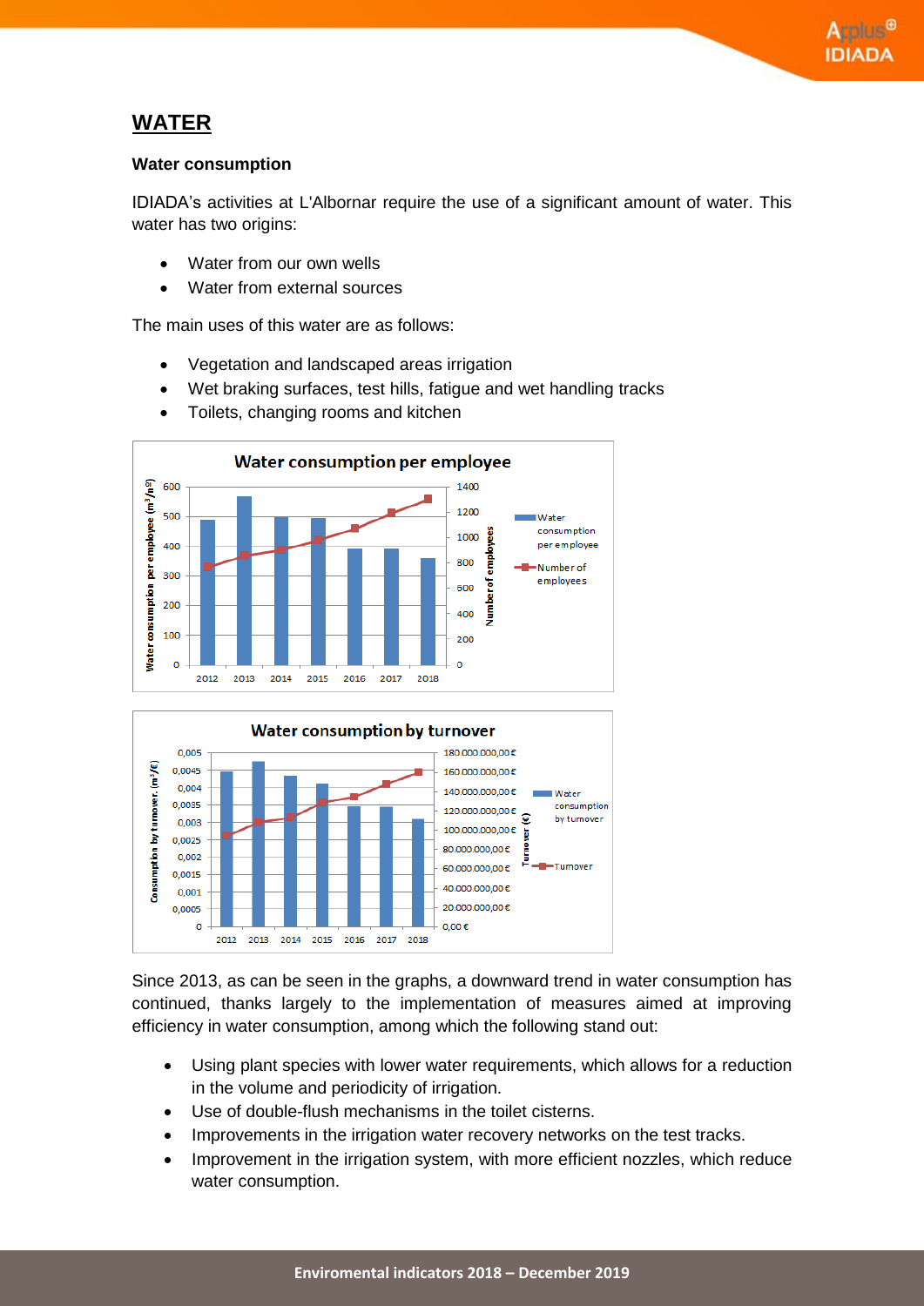## **WATER**

#### **Water consumption**

IDIADA's activities at L'Albornar require the use of a significant amount of water. This water has two origins:

- Water from our own wells
- Water from external sources

The main uses of this water are as follows:

- Vegetation and landscaped areas irrigation
- Wet braking surfaces, test hills, fatigue and wet handling tracks
- Toilets, changing rooms and kitchen





Since 2013, as can be seen in the graphs, a downward trend in water consumption has continued, thanks largely to the implementation of measures aimed at improving efficiency in water consumption, among which the following stand out:

- Using plant species with lower water requirements, which allows for a reduction in the volume and periodicity of irrigation.
- Use of double-flush mechanisms in the toilet cisterns.
- Improvements in the irrigation water recovery networks on the test tracks.
- Improvement in the irrigation system, with more efficient nozzles, which reduce water consumption.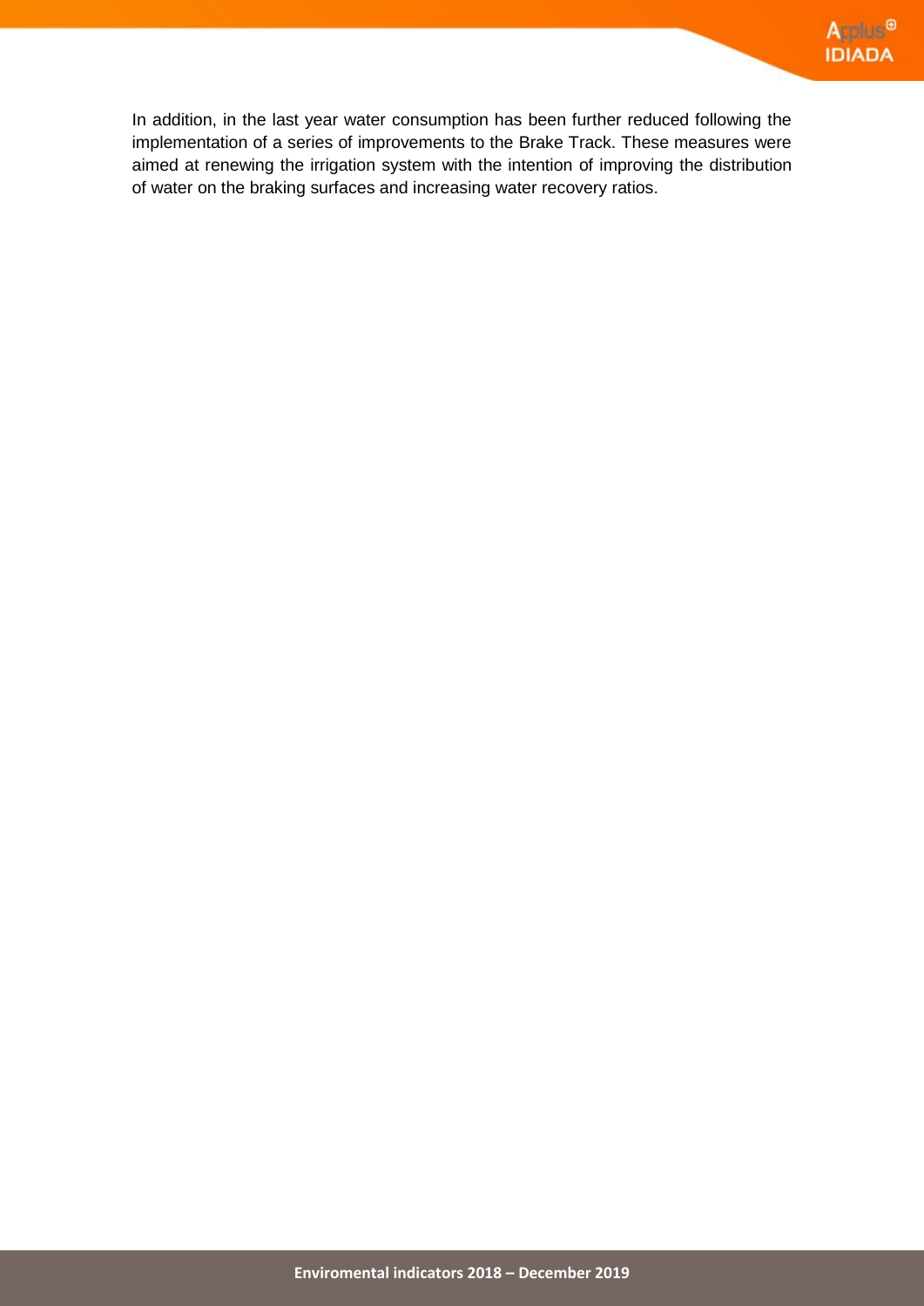In addition, in the last year water consumption has been further reduced following the implementation of a series of improvements to the Brake Track. These measures were aimed at renewing the irrigation system with the intention of improving the distribution of water on the braking surfaces and increasing water recovery ratios.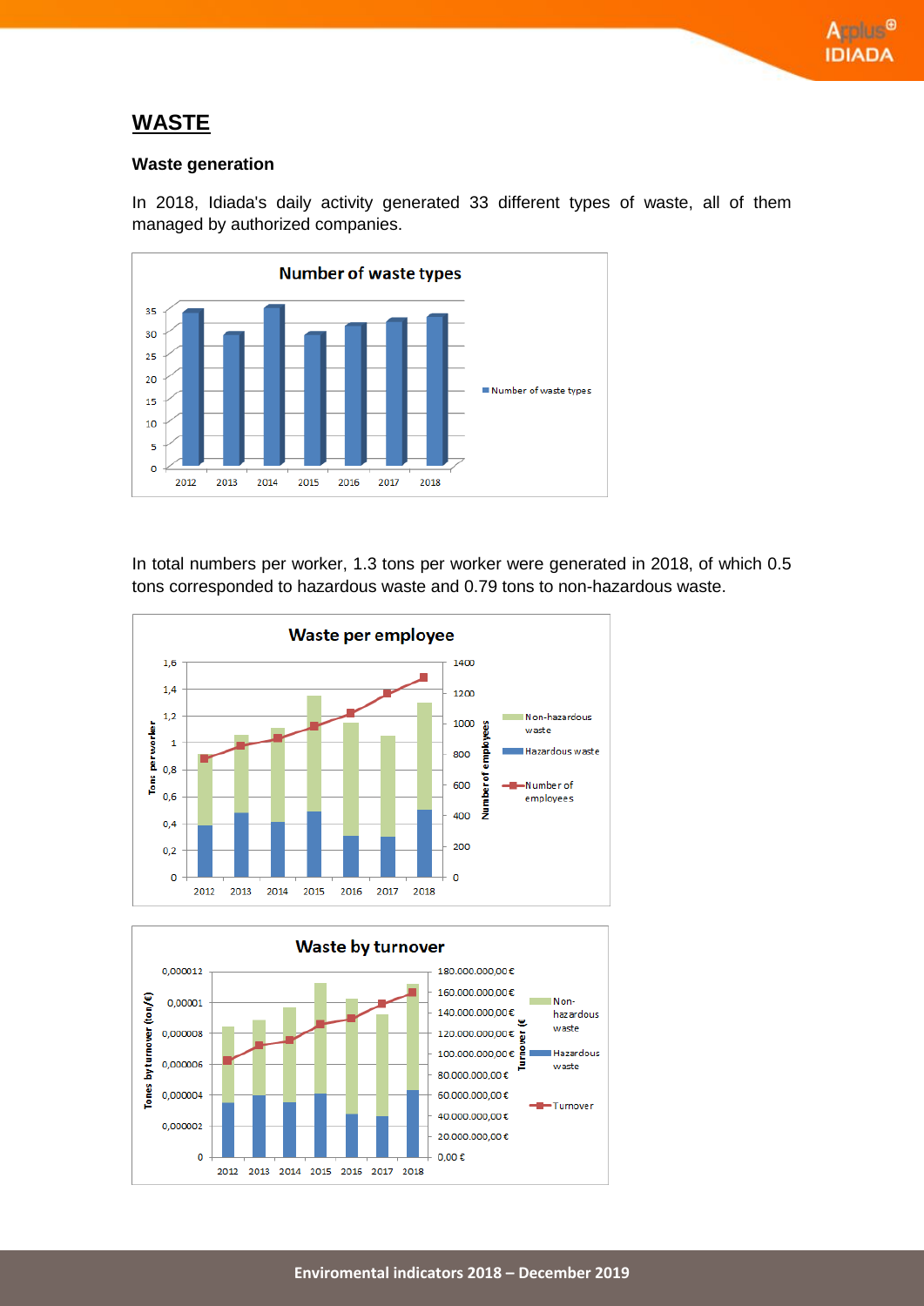## **WASTE**

### **Waste generation**

In 2018, Idiada's daily activity generated 33 different types of waste, all of them managed by authorized companies.



In total numbers per worker, 1.3 tons per worker were generated in 2018, of which 0.5 tons corresponded to hazardous waste and 0.79 tons to non-hazardous waste.



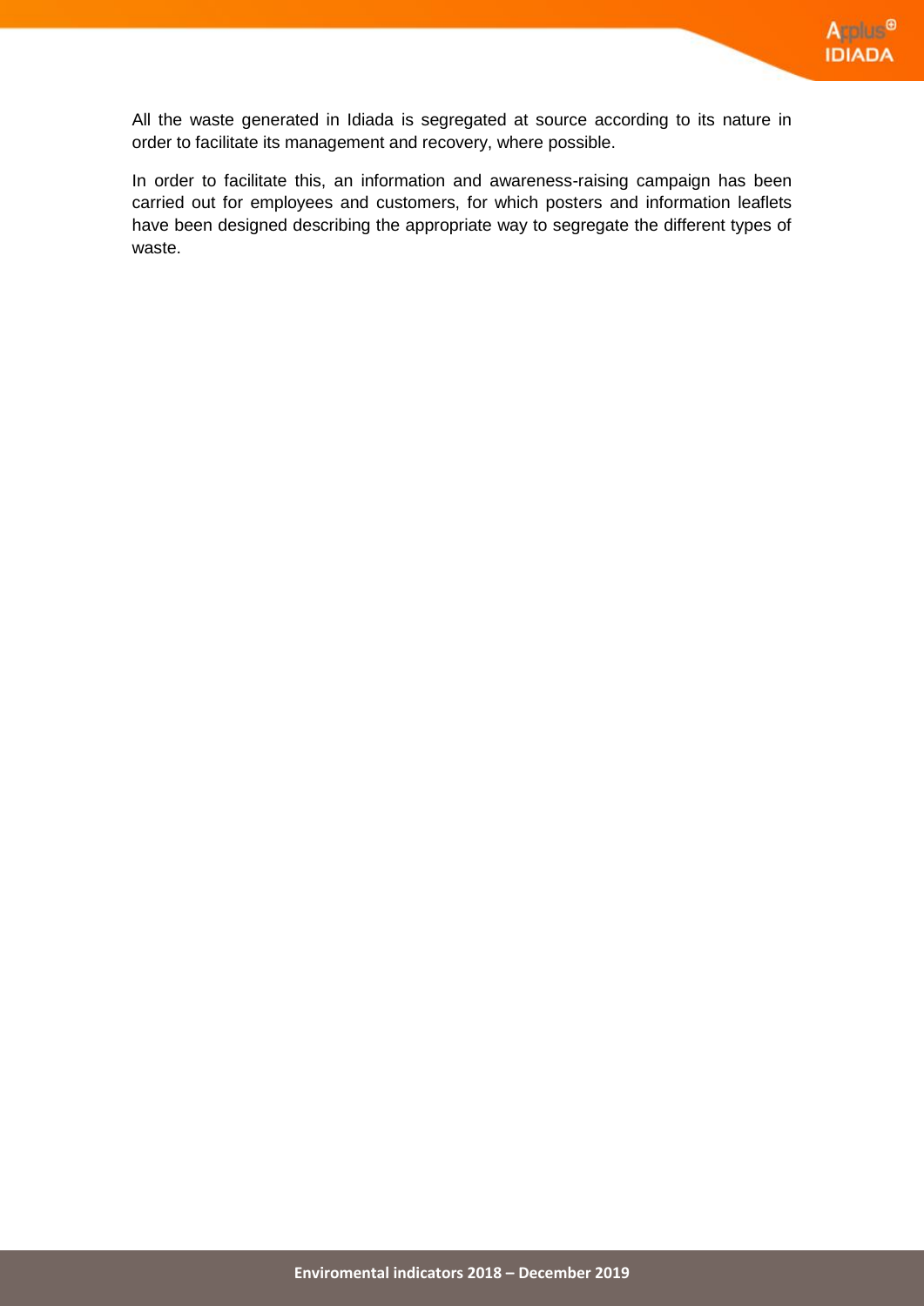All the waste generated in Idiada is segregated at source according to its nature in order to facilitate its management and recovery, where possible.

In order to facilitate this, an information and awareness-raising campaign has been carried out for employees and customers, for which posters and information leaflets have been designed describing the appropriate way to segregate the different types of waste.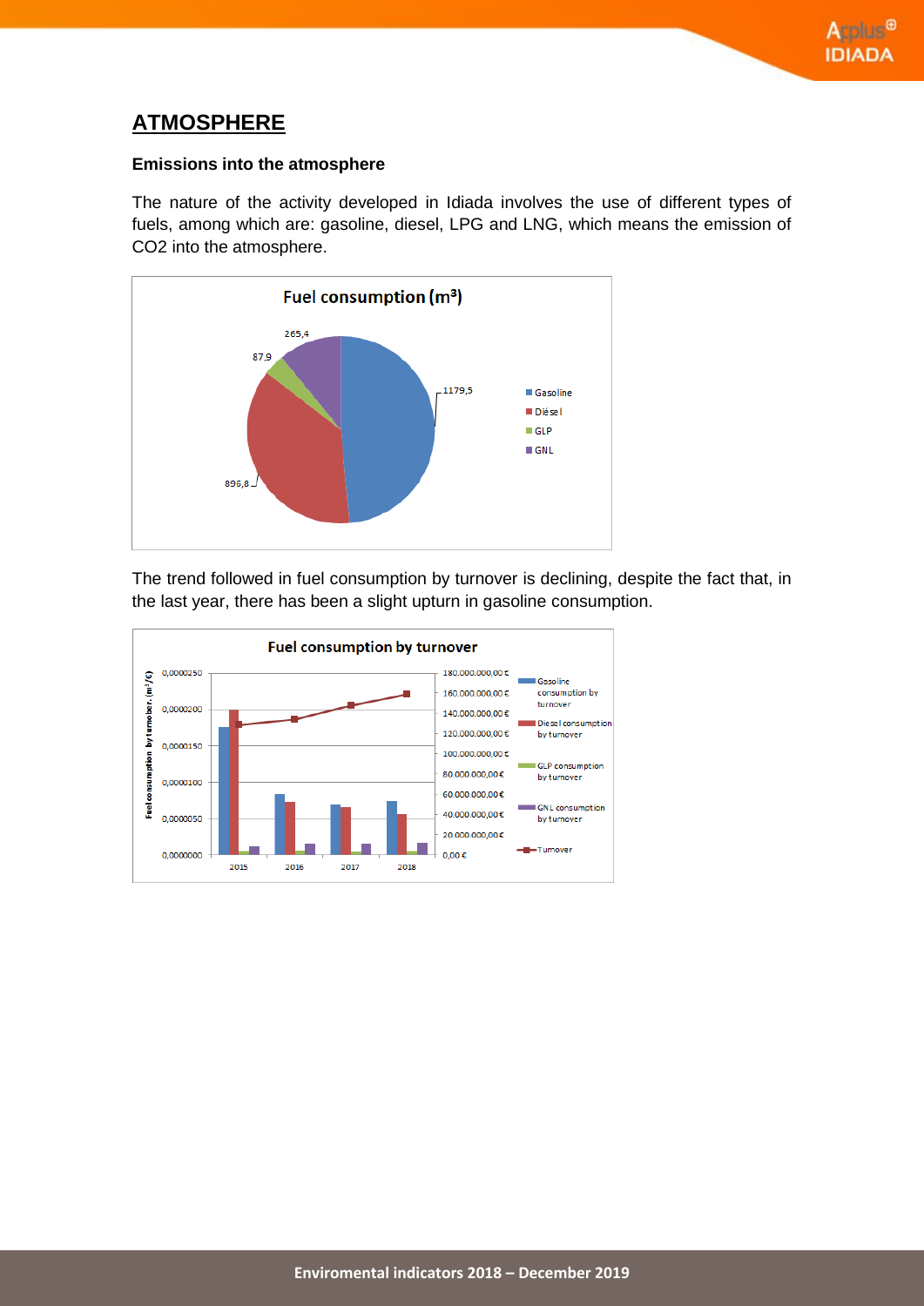# **ATMOSPHERE**

### **Emissions into the atmosphere**

The nature of the activity developed in Idiada involves the use of different types of fuels, among which are: gasoline, diesel, LPG and LNG, which means the emission of CO2 into the atmosphere.



The trend followed in fuel consumption by turnover is declining, despite the fact that, in the last year, there has been a slight upturn in gasoline consumption.

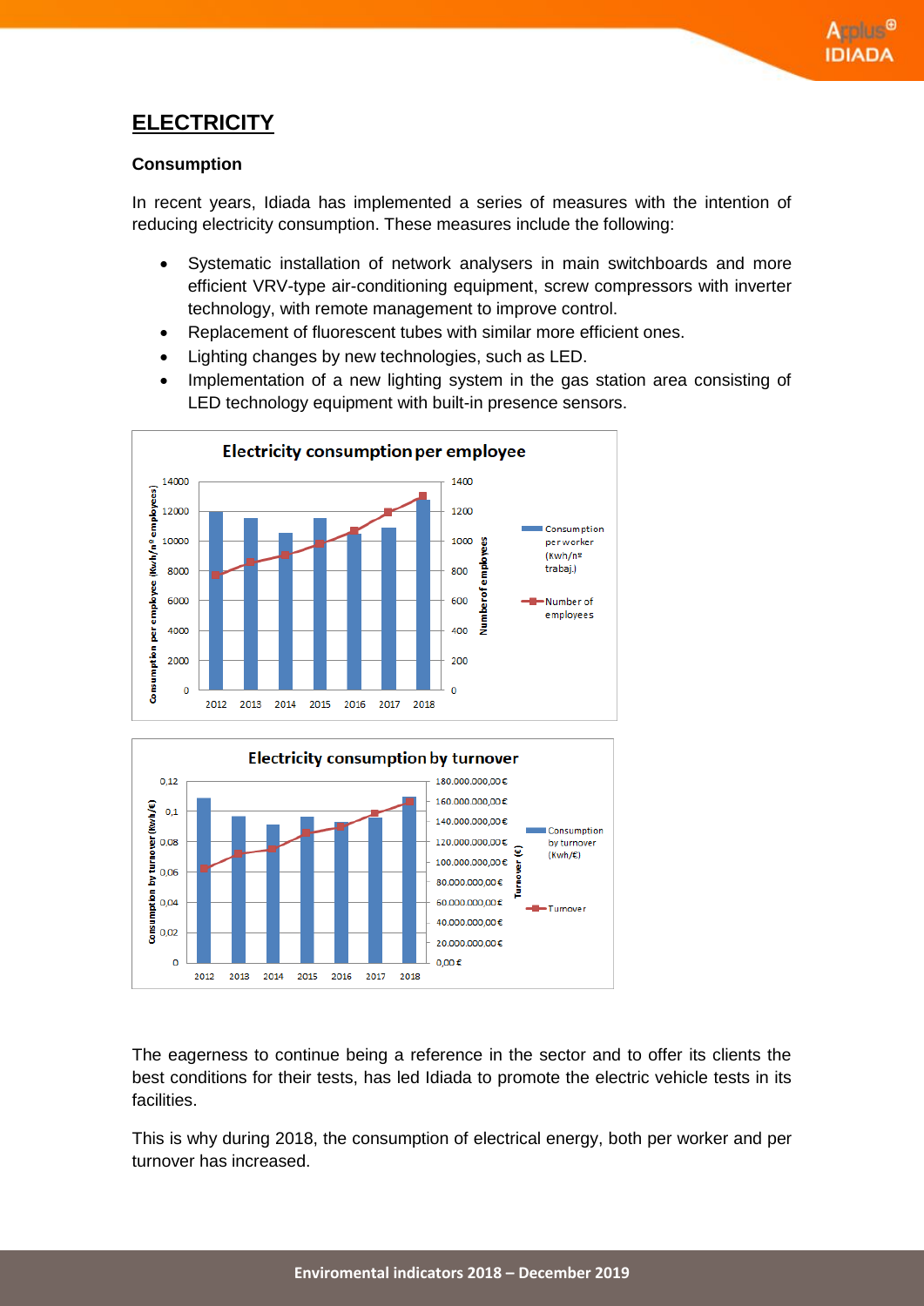# **ELECTRICITY**

### **Consumption**

In recent years, Idiada has implemented a series of measures with the intention of reducing electricity consumption. These measures include the following:

- Systematic installation of network analysers in main switchboards and more efficient VRV-type air-conditioning equipment, screw compressors with inverter technology, with remote management to improve control.
- Replacement of fluorescent tubes with similar more efficient ones.
- Lighting changes by new technologies, such as LED.
- Implementation of a new lighting system in the gas station area consisting of LED technology equipment with built-in presence sensors.





The eagerness to continue being a reference in the sector and to offer its clients the best conditions for their tests, has led Idiada to promote the electric vehicle tests in its facilities.

This is why during 2018, the consumption of electrical energy, both per worker and per turnover has increased.